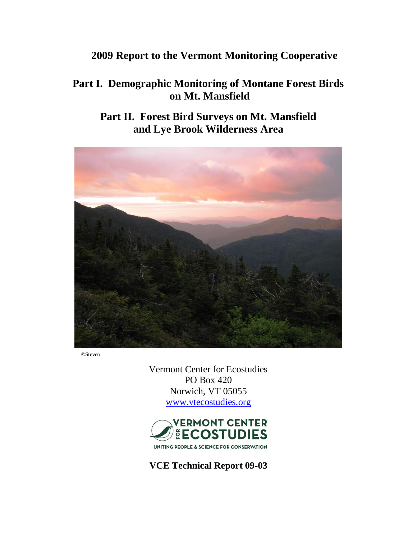# **2009 Report to the Vermont Monitoring Cooperative**

# **Part I. Demographic Monitoring of Montane Forest Birds on Mt. Mansfield**

**Part II. Forest Bird Surveys on Mt. Mansfield and Lye Brook Wilderness Area**



©Steven

Vermont Center for Ecostudies PO Box 420 Norwich, VT 05055 [www.vtecostudies.org](http://www.vtecostudies.org/)



**VCE Technical Report 09-03**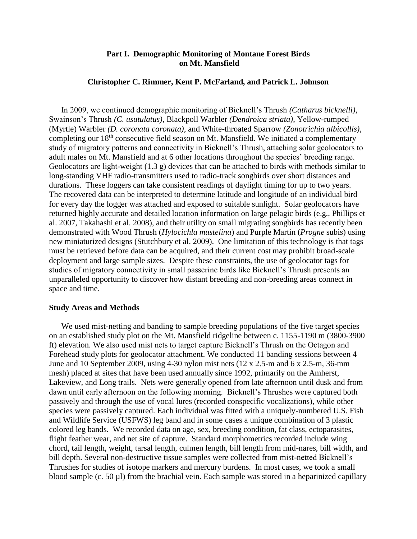## **Part I. Demographic Monitoring of Montane Forest Birds on Mt. Mansfield**

### **Christopher C. Rimmer, Kent P. McFarland, and Patrick L. Johnson**

In 2009, we continued demographic monitoring of Bicknell's Thrush *(Catharus bicknelli)*, Swainson's Thrush *(C. usutulatus)*, Blackpoll Warbler *(Dendroica striata)*, Yellow-rumped (Myrtle) Warbler *(D. coronata coronata)*, and White-throated Sparrow *(Zonotrichia albicollis)*, completing our 18<sup>th</sup> consecutive field season on Mt. Mansfield. We initiated a complementary study of migratory patterns and connectivity in Bicknell's Thrush, attaching solar geolocators to adult males on Mt. Mansfield and at 6 other locations throughout the species' breeding range. Geolocators are light-weight  $(1.3 \text{ g})$  devices that can be attached to birds with methods similar to long-standing VHF radio-transmitters used to radio-track songbirds over short distances and durations. These loggers can take consistent readings of daylight timing for up to two years. The recovered data can be interpreted to determine latitude and longitude of an individual bird for every day the logger was attached and exposed to suitable sunlight. Solar geolocators have returned highly accurate and detailed location information on large pelagic birds (e.g., Phillips et al. 2007, Takahashi et al. 2008), and their utility on small migrating songbirds has recently been demonstrated with Wood Thrush (*Hylocichla mustelina*) and Purple Martin (*Progne* subis) using new miniaturized designs (Stutchbury et al. 2009). One limitation of this technology is that tags must be retrieved before data can be acquired, and their current cost may prohibit broad-scale deployment and large sample sizes. Despite these constraints, the use of geolocator tags for studies of migratory connectivity in small passerine birds like Bicknell's Thrush presents an unparalleled opportunity to discover how distant breeding and non-breeding areas connect in space and time.

#### **Study Areas and Methods**

We used mist-netting and banding to sample breeding populations of the five target species on an established study plot on the Mt. Mansfield ridgeline between c. 1155-1190 m (3800-3900 ft) elevation. We also used mist nets to target capture Bicknell's Thrush on the Octagon and Forehead study plots for geolocator attachment. We conducted 11 banding sessions between 4 June and 10 September 2009, using 4-30 nylon mist nets (12 x 2.5-m and 6 x 2.5-m, 36-mm mesh) placed at sites that have been used annually since 1992, primarily on the Amherst, Lakeview, and Long trails. Nets were generally opened from late afternoon until dusk and from dawn until early afternoon on the following morning. Bicknell's Thrushes were captured both passively and through the use of vocal lures (recorded conspecific vocalizations), while other species were passively captured. Each individual was fitted with a uniquely-numbered U.S. Fish and Wildlife Service (USFWS) leg band and in some cases a unique combination of 3 plastic colored leg bands. We recorded data on age, sex, breeding condition, fat class, ectoparasites, flight feather wear, and net site of capture. Standard morphometrics recorded include wing chord, tail length, weight, tarsal length, culmen length, bill length from mid-nares, bill width, and bill depth. Several non-destructive tissue samples were collected from mist-netted Bicknell's Thrushes for studies of isotope markers and mercury burdens. In most cases, we took a small blood sample (c. 50 µl) from the brachial vein. Each sample was stored in a heparinized capillary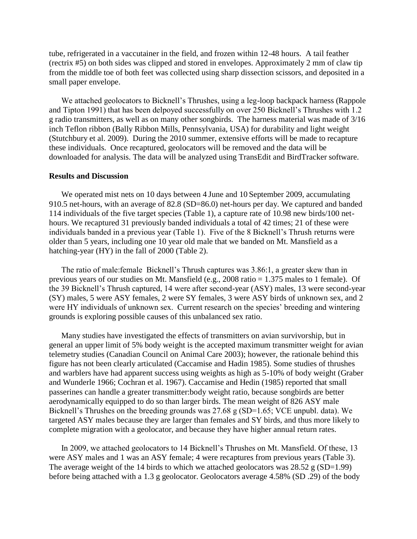tube, refrigerated in a vaccutainer in the field, and frozen within 12-48 hours. A tail feather (rectrix #5) on both sides was clipped and stored in envelopes. Approximately 2 mm of claw tip from the middle toe of both feet was collected using sharp dissection scissors, and deposited in a small paper envelope.

We attached geolocators to Bicknell's Thrushes, using a leg-loop backpack harness (Rappole and Tipton 1991) that has been delpoyed successfully on over 250 Bicknell's Thrushes with 1.2 g radio transmitters, as well as on many other songbirds. The harness material was made of 3/16 inch Teflon ribbon (Bally Ribbon Mills, Pennsylvania, USA) for durability and light weight (Stutchbury et al. 2009). During the 2010 summer, extensive efforts will be made to recapture these individuals. Once recaptured, geolocators will be removed and the data will be downloaded for analysis. The data will be analyzed using TransEdit and BirdTracker software.

#### **Results and Discussion**

We operated mist nets on 10 days between 4 June and 10 September 2009, accumulating 910.5 net-hours, with an average of 82.8 (SD=86.0) net-hours per day. We captured and banded 114 individuals of the five target species (Table 1), a capture rate of 10.98 new birds/100 nethours. We recaptured 31 previously banded individuals a total of 42 times; 21 of these were individuals banded in a previous year (Table 1). Five of the 8 Bicknell's Thrush returns were older than 5 years, including one 10 year old male that we banded on Mt. Mansfield as a hatching-year (HY) in the fall of 2000 (Table 2).

The ratio of male:female Bicknell's Thrush captures was 3.86:1, a greater skew than in previous years of our studies on Mt. Mansfield (e.g., 2008 ratio = 1.375 males to 1 female). Of the 39 Bicknell's Thrush captured, 14 were after second-year (ASY) males, 13 were second-year (SY) males, 5 were ASY females, 2 were SY females, 3 were ASY birds of unknown sex, and 2 were HY individuals of unknown sex. Current research on the species' breeding and wintering grounds is exploring possible causes of this unbalanced sex ratio.

Many studies have investigated the effects of transmitters on avian survivorship, but in general an upper limit of 5% body weight is the accepted maximum transmitter weight for avian telemetry studies (Canadian Council on Animal Care 2003); however, the rationale behind this figure has not been clearly articulated (Caccamise and Hadin 1985). Some studies of thrushes and warblers have had apparent success using weights as high as 5-10% of body weight (Graber and Wunderle 1966; Cochran et al. 1967). Caccamise and Hedin (1985) reported that small passerines can handle a greater transmitter:body weight ratio, because songbirds are better aerodynamically equipped to do so than larger birds. The mean weight of 826 ASY male Bicknell's Thrushes on the breeding grounds was 27.68 g (SD=1.65; VCE unpubl. data). We targeted ASY males because they are larger than females and SY birds, and thus more likely to complete migration with a geolocator, and because they have higher annual return rates.

In 2009, we attached geolocators to 14 Bicknell's Thrushes on Mt. Mansfield. Of these, 13 were ASY males and 1 was an ASY female; 4 were recaptures from previous years (Table 3). The average weight of the 14 birds to which we attached geolocators was  $28.52$  g (SD=1.99) before being attached with a 1.3 g geolocator. Geolocators average 4.58% (SD .29) of the body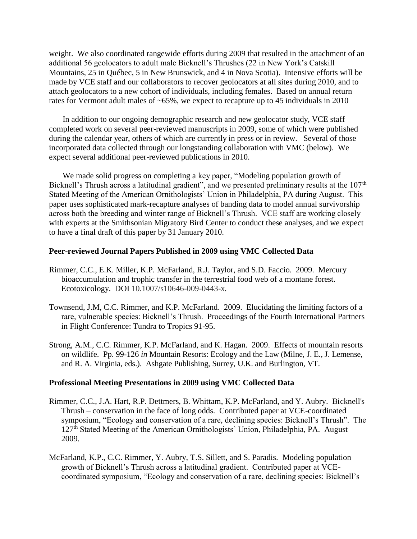weight. We also coordinated rangewide efforts during 2009 that resulted in the attachment of an additional 56 geolocators to adult male Bicknell's Thrushes (22 in New York's Catskill Mountains, 25 in Québec, 5 in New Brunswick, and 4 in Nova Scotia). Intensive efforts will be made by VCE staff and our collaborators to recover geolocators at all sites during 2010, and to attach geolocators to a new cohort of individuals, including females. Based on annual return rates for Vermont adult males of ~65%, we expect to recapture up to 45 individuals in 2010

In addition to our ongoing demographic research and new geolocator study, VCE staff completed work on several peer-reviewed manuscripts in 2009, some of which were published during the calendar year, others of which are currently in press or in review. Several of those incorporated data collected through our longstanding collaboration with VMC (below). We expect several additional peer-reviewed publications in 2010.

We made solid progress on completing a key paper, "Modeling population growth of Bicknell's Thrush across a latitudinal gradient", and we presented preliminary results at the  $107<sup>th</sup>$ Stated Meeting of the American Ornithologists' Union in Philadelphia, PA during August. This paper uses sophisticated mark-recapture analyses of banding data to model annual survivorship across both the breeding and winter range of Bicknell's Thrush. VCE staff are working closely with experts at the Smithsonian Migratory Bird Center to conduct these analyses, and we expect to have a final draft of this paper by 31 January 2010.

# **Peer-reviewed Journal Papers Published in 2009 using VMC Collected Data**

- Rimmer, C.C., E.K. Miller, K.P. McFarland, R.J. Taylor, and S.D. Faccio. 2009. Mercury bioaccumulation and trophic transfer in the terrestrial food web of a montane forest. Ecotoxicology. DOI 10.1007/s10646-009-0443-x*.*
- Townsend, J.M, C.C. Rimmer, and K.P. McFarland. 2009. Elucidating the limiting factors of a rare, vulnerable species: Bicknell's Thrush. Proceedings of the Fourth International Partners in Flight Conference: Tundra to Tropics 91-95.
- Strong, A.M., C.C. Rimmer, K.P. McFarland, and K. Hagan. 2009. Effects of mountain resorts on wildlife. Pp. 99-126 *in* Mountain Resorts: Ecology and the Law (Milne, J. E., J. Lemense, and R. A. Virginia, eds.). Ashgate Publishing, Surrey, U.K. and Burlington, VT.

### **Professional Meeting Presentations in 2009 using VMC Collected Data**

- Rimmer, C.C., J.A. Hart, R.P. Dettmers, B. Whittam, K.P. McFarland, and Y. Aubry. Bicknell's Thrush – conservation in the face of long odds. Contributed paper at VCE-coordinated symposium, "Ecology and conservation of a rare, declining species: Bicknell's Thrush". The 127<sup>th</sup> Stated Meeting of the American Ornithologists' Union, Philadelphia, PA. August 2009.
- McFarland, K.P., C.C. Rimmer, Y. Aubry, T.S. Sillett, and S. Paradis. Modeling population growth of Bicknell's Thrush across a latitudinal gradient. Contributed paper at VCEcoordinated symposium, "Ecology and conservation of a rare, declining species: Bicknell's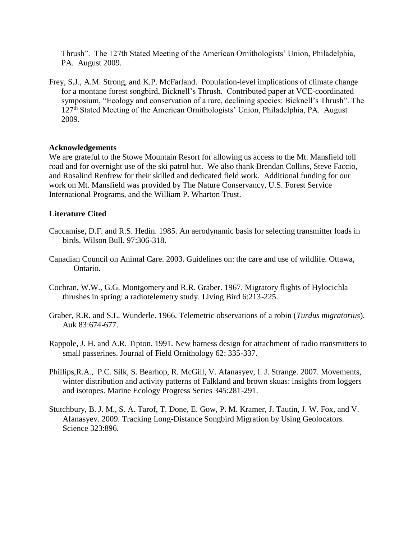Thrush". The 127th Stated Meeting of the American Ornithologists' Union, Philadelphia, PA. August 2009.

Frey, S.J., A.M. Strong, and K.P. McFarland. Population-level implications of climate change for a montane forest songbird, Bicknell's Thrush. Contributed paper at VCE-coordinated symposium, "Ecology and conservation of a rare, declining species: Bicknell's Thrush". The 127th Stated Meeting of the American Ornithologists' Union, Philadelphia, PA. August 2009.

## **Acknowledgements**

We are grateful to the Stowe Mountain Resort for allowing us access to the Mt. Mansfield toll road and for overnight use of the ski patrol hut. We also thank Brendan Collins, Steve Faccio, and Rosalind Renfrew for their skilled and dedicated field work. Additional funding for our work on Mt. Mansfield was provided by The Nature Conservancy, U.S. Forest Service International Programs, and the William P. Wharton Trust.

# **Literature Cited**

- Caccamise, D.F. and R.S. Hedin. 1985. An aerodynamic basis for selecting transmitter loads in birds. Wilson Bull. 97:306-318.
- Canadian Council on Animal Care. 2003. Guidelines on: the care and use of wildlife. Ottawa, Ontario.
- Cochran, W.W., G.G. Montgomery and R.R. Graber. 1967. Migratory flights of Hylocichla thrushes in spring: a radiotelemetry study. Living Bird 6:213-225.
- Graber, R.R. and S.L. Wunderle. 1966. Telemetric observations of a robin (*Turdus migratorius*). Auk 83:674-677.
- Rappole, J. H. and A.R. Tipton. 1991. New harness design for attachment of radio transmitters to small passerines. Journal of Field Ornithology 62: 335-337.
- Phillips,R.A., P.C. Silk, S. Bearhop, R. McGill, V. Afanasyev, I. J. Strange. 2007. Movements, winter distribution and activity patterns of Falkland and brown skuas: insights from loggers and isotopes. Marine Ecology Progress Series 345:281-291.
- Stutchbury, B. J. M., S. A. Tarof, T. Done, E. Gow, P. M. Kramer, J. Tautin, J. W. Fox, and V. Afanasyev. 2009. Tracking Long-Distance Songbird Migration by Using Geolocators. Science 323:896.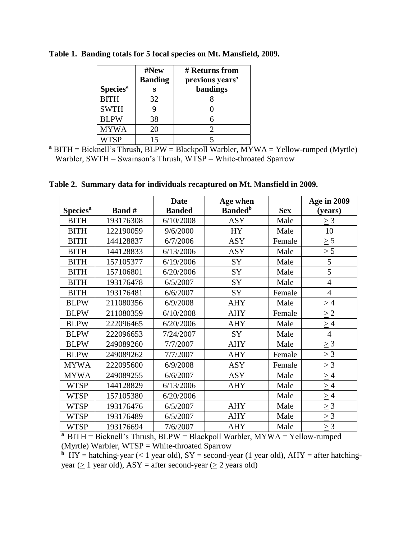|                             | #New           | # Returns from  |
|-----------------------------|----------------|-----------------|
|                             | <b>Banding</b> | previous years' |
| <b>Species</b> <sup>a</sup> | S              | bandings        |
| <b>BITH</b>                 | 32             |                 |
| <b>SWTH</b>                 | 9              |                 |
| <b>BLPW</b>                 | 38             |                 |
| <b>MYWA</b>                 | 20             |                 |
| <b>WTSP</b>                 | 15             |                 |

**Table 1. Banding totals for 5 focal species on Mt. Mansfield, 2009.**

**<sup>a</sup>** BITH = Bicknell's Thrush, BLPW = Blackpoll Warbler, MYWA = Yellow-rumped (Myrtle) Warbler, SWTH = Swainson's Thrush, WTSP = White-throated Sparrow

**Table 2. Summary data for individuals recaptured on Mt. Mansfield in 2009.** 

|                             |              | <b>Date</b>   | Age when                   |            | <b>Age in 2009</b> |
|-----------------------------|--------------|---------------|----------------------------|------------|--------------------|
| <b>Species</b> <sup>a</sup> | <b>Band#</b> | <b>Banded</b> | <b>Banded</b> <sup>b</sup> | <b>Sex</b> | (years)            |
| <b>BITH</b>                 | 193176308    | 6/10/2008     | <b>ASY</b>                 | Male       | $\geq 3$           |
| <b>BITH</b>                 | 122190059    | 9/6/2000      | <b>HY</b>                  | Male       | 10                 |
| <b>BITH</b>                 | 144128837    | 6/7/2006      | <b>ASY</b>                 | Female     | $\geq 5$           |
| <b>BITH</b>                 | 144128833    | 6/13/2006     | <b>ASY</b>                 | Male       | $\geq 5$           |
| <b>BITH</b>                 | 157105377    | 6/19/2006     | SY                         | Male       | 5                  |
| <b>BITH</b>                 | 157106801    | 6/20/2006     | SY                         | Male       | 5                  |
| <b>BITH</b>                 | 193176478    | 6/5/2007      | SY                         | Male       | $\overline{4}$     |
| <b>BITH</b>                 | 193176481    | 6/6/2007      | SY                         | Female     | $\overline{4}$     |
| <b>BLPW</b>                 | 211080356    | 6/9/2008      | <b>AHY</b>                 | Male       | $\geq$ 4           |
| <b>BLPW</b>                 | 211080359    | 6/10/2008     | <b>AHY</b>                 | Female     | $\geq 2$           |
| <b>BLPW</b>                 | 222096465    | 6/20/2006     | <b>AHY</b>                 | Male       | $\geq$ 4           |
| <b>BLPW</b>                 | 222096653    | 7/24/2007     | SY                         | Male       | $\overline{4}$     |
| <b>BLPW</b>                 | 249089260    | 7/7/2007      | <b>AHY</b>                 | Male       | $\geq 3$           |
| <b>BLPW</b>                 | 249089262    | 7/7/2007      | <b>AHY</b>                 | Female     | $\geq 3$           |
| <b>MYWA</b>                 | 222095600    | 6/9/2008      | <b>ASY</b>                 | Female     | $\geq 3$           |
| <b>MYWA</b>                 | 249089255    | 6/6/2007      | ASY                        | Male       | $\geq$ 4           |
| <b>WTSP</b>                 | 144128829    | 6/13/2006     | <b>AHY</b>                 | Male       | $\geq$ 4           |
| <b>WTSP</b>                 | 157105380    | 6/20/2006     |                            | Male       | $\geq$ 4           |
| <b>WTSP</b>                 | 193176476    | 6/5/2007      | <b>AHY</b>                 | Male       | $\geq 3$           |
| <b>WTSP</b>                 | 193176489    | 6/5/2007      | <b>AHY</b>                 | Male       | $\geq 3$           |
| <b>WTSP</b>                 | 193176694    | 7/6/2007      | <b>AHY</b>                 | Male       | $\geq 3$           |

**<sup>a</sup>**BITH = Bicknell's Thrush, BLPW = Blackpoll Warbler, MYWA = Yellow-rumped (Myrtle) Warbler, WTSP = White-throated Sparrow

**b**  $HY = \text{hatching-year} (< 1 \text{ year old})$ ,  $SY = \text{second-year} (1 \text{ year old})$ ,  $AHY = \text{after hatching-}$ year ( $\geq 1$  year old), ASY = after second-year ( $\geq 2$  years old)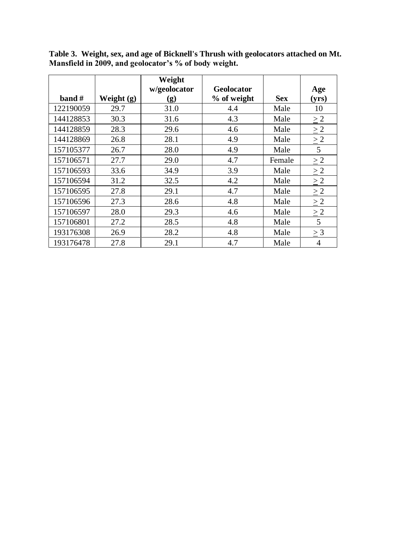**Table 3. Weight, sex, and age of Bicknell's Thrush with geolocators attached on Mt. Mansfield in 2009, and geolocator's % of body weight.**

|           |              | Weight       |             |            |                |
|-----------|--------------|--------------|-------------|------------|----------------|
|           |              | w/geolocator | Geolocator  |            | Age            |
| band#     | Weight $(g)$ | (g)          | % of weight | <b>Sex</b> | (yrs)          |
| 122190059 | 29.7         | 31.0         | 4.4         | Male       | 10             |
| 144128853 | 30.3         | 31.6         | 4.3         | Male       | $\geq$ 2       |
| 144128859 | 28.3         | 29.6         | 4.6         | Male       | $\geq 2$       |
| 144128869 | 26.8         | 28.1         | 4.9         | Male       | $\geq 2$       |
| 157105377 | 26.7         | 28.0         | 4.9         | Male       | $\overline{5}$ |
| 157106571 | 27.7         | 29.0         | 4.7         | Female     | $\geq 2$       |
| 157106593 | 33.6         | 34.9         | 3.9         | Male       | $\geq 2$       |
| 157106594 | 31.2         | 32.5         | 4.2         | Male       | $\geq 2$       |
| 157106595 | 27.8         | 29.1         | 4.7         | Male       | $\geq 2$       |
| 157106596 | 27.3         | 28.6         | 4.8         | Male       | $\geq 2$       |
| 157106597 | 28.0         | 29.3         | 4.6         | Male       | $\geq 2$       |
| 157106801 | 27.2         | 28.5         | 4.8         | Male       | 5              |
| 193176308 | 26.9         | 28.2         | 4.8         | Male       | $\geq 3$       |
| 193176478 | 27.8         | 29.1         | 4.7         | Male       | $\overline{4}$ |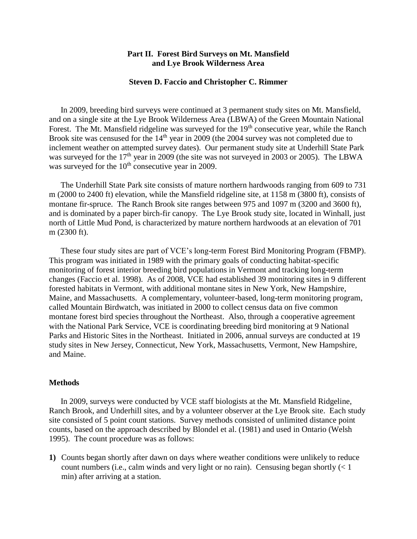#### **Part II. Forest Bird Surveys on Mt. Mansfield and Lye Brook Wilderness Area**

#### **Steven D. Faccio and Christopher C. Rimmer**

In 2009, breeding bird surveys were continued at 3 permanent study sites on Mt. Mansfield, and on a single site at the Lye Brook Wilderness Area (LBWA) of the Green Mountain National Forest. The Mt. Mansfield ridgeline was surveyed for the  $19<sup>th</sup>$  consecutive year, while the Ranch Brook site was censused for the 14<sup>th</sup> year in 2009 (the 2004 survey was not completed due to inclement weather on attempted survey dates). Our permanent study site at Underhill State Park was surveyed for the  $17<sup>th</sup>$  year in 2009 (the site was not surveyed in 2003 or 2005). The LBWA was surveyed for the  $10<sup>th</sup>$  consecutive year in 2009.

The Underhill State Park site consists of mature northern hardwoods ranging from 609 to 731 m (2000 to 2400 ft) elevation, while the Mansfield ridgeline site, at 1158 m (3800 ft), consists of montane fir-spruce. The Ranch Brook site ranges between 975 and 1097 m (3200 and 3600 ft), and is dominated by a paper birch-fir canopy. The Lye Brook study site, located in Winhall, just north of Little Mud Pond, is characterized by mature northern hardwoods at an elevation of 701 m (2300 ft).

These four study sites are part of VCE's long-term Forest Bird Monitoring Program (FBMP). This program was initiated in 1989 with the primary goals of conducting habitat-specific monitoring of forest interior breeding bird populations in Vermont and tracking long-term changes (Faccio et al. 1998). As of 2008, VCE had established 39 monitoring sites in 9 different forested habitats in Vermont, with additional montane sites in New York, New Hampshire, Maine, and Massachusetts. A complementary, volunteer-based, long-term monitoring program, called Mountain Birdwatch, was initiated in 2000 to collect census data on five common montane forest bird species throughout the Northeast. Also, through a cooperative agreement with the National Park Service, VCE is coordinating breeding bird monitoring at 9 National Parks and Historic Sites in the Northeast. Initiated in 2006, annual surveys are conducted at 19 study sites in New Jersey, Connecticut, New York, Massachusetts, Vermont, New Hampshire, and Maine.

#### **Methods**

In 2009, surveys were conducted by VCE staff biologists at the Mt. Mansfield Ridgeline, Ranch Brook, and Underhill sites, and by a volunteer observer at the Lye Brook site. Each study site consisted of 5 point count stations. Survey methods consisted of unlimited distance point counts, based on the approach described by Blondel et al. (1981) and used in Ontario (Welsh 1995). The count procedure was as follows:

**1)** Counts began shortly after dawn on days where weather conditions were unlikely to reduce count numbers (i.e., calm winds and very light or no rain). Censusing began shortly  $\ll 1$ min) after arriving at a station.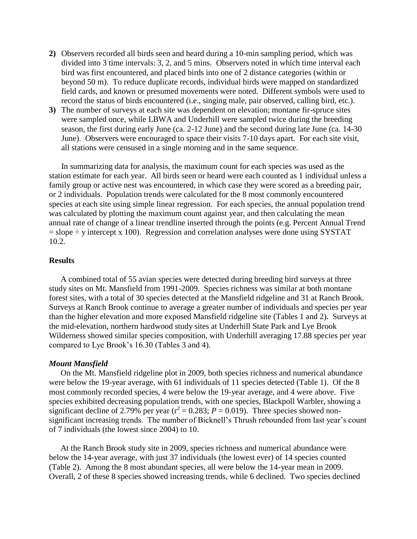- **2)** Observers recorded all birds seen and heard during a 10-min sampling period, which was divided into 3 time intervals: 3, 2, and 5 mins. Observers noted in which time interval each bird was first encountered, and placed birds into one of 2 distance categories (within or beyond 50 m). To reduce duplicate records, individual birds were mapped on standardized field cards, and known or presumed movements were noted. Different symbols were used to record the status of birds encountered (i.e., singing male, pair observed, calling bird, etc.).
- **3)** The number of surveys at each site was dependent on elevation; montane fir-spruce sites were sampled once, while LBWA and Underhill were sampled twice during the breeding season, the first during early June (ca. 2-12 June) and the second during late June (ca. 14-30 June). Observers were encouraged to space their visits 7-10 days apart. For each site visit, all stations were censused in a single morning and in the same sequence.

In summarizing data for analysis, the maximum count for each species was used as the station estimate for each year. All birds seen or heard were each counted as 1 individual unless a family group or active nest was encountered, in which case they were scored as a breeding pair, or 2 individuals. Population trends were calculated for the 8 most commonly encountered species at each site using simple linear regression. For each species, the annual population trend was calculated by plotting the maximum count against year, and then calculating the mean annual rate of change of a linear trendline inserted through the points (e.g. Percent Annual Trend  $=$  slope  $\div$  y intercept x 100). Regression and correlation analyses were done using SYSTAT 10.2.

### **Results**

A combined total of 55 avian species were detected during breeding bird surveys at three study sites on Mt. Mansfield from 1991-2009. Species richness was similar at both montane forest sites, with a total of 30 species detected at the Mansfield ridgeline and 31 at Ranch Brook. Surveys at Ranch Brook continue to average a greater number of individuals and species per year than the higher elevation and more exposed Mansfield ridgeline site (Tables 1 and 2). Surveys at the mid-elevation, northern hardwood study sites at Underhill State Park and Lye Brook Wilderness showed similar species composition, with Underhill averaging 17.88 species per year compared to Lye Brook's 16.30 (Tables 3 and 4).

#### *Mount Mansfield*

On the Mt. Mansfield ridgeline plot in 2009, both species richness and numerical abundance were below the 19-year average, with 61 individuals of 11 species detected (Table 1). Of the 8 most commonly recorded species, 4 were below the 19-year average, and 4 were above. Five species exhibited decreasing population trends, with one species, Blackpoll Warbler, showing a significant decline of 2.79% per year ( $r^2 = 0.283$ ;  $P = 0.019$ ). Three species showed nonsignificant increasing trends. The number of Bicknell's Thrush rebounded from last year's count of 7 individuals (the lowest since 2004) to 10.

At the Ranch Brook study site in 2009, species richness and numerical abundance were below the 14-year average, with just 37 individuals (the lowest ever) of 14 species counted (Table 2). Among the 8 most abundant species, all were below the 14-year mean in 2009. Overall, 2 of these 8 species showed increasing trends, while 6 declined. Two species declined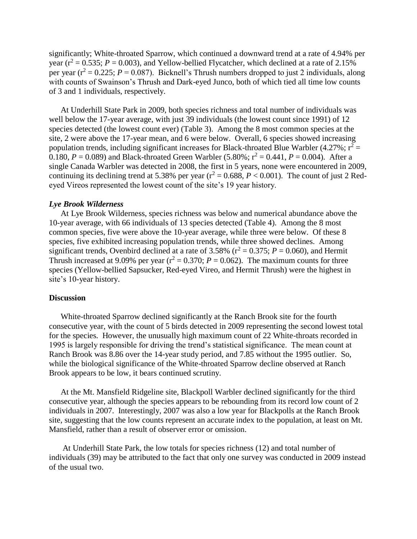significantly; White-throated Sparrow, which continued a downward trend at a rate of 4.94% per year ( $r^2 = 0.535$ ;  $P = 0.003$ ), and Yellow-bellied Flycatcher, which declined at a rate of 2.15% per year ( $r^2 = 0.225$ ;  $P = 0.087$ ). Bicknell's Thrush numbers dropped to just 2 individuals, along with counts of Swainson's Thrush and Dark-eyed Junco, both of which tied all time low counts of 3 and 1 individuals, respectively.

At Underhill State Park in 2009, both species richness and total number of individuals was well below the 17-year average, with just 39 individuals (the lowest count since 1991) of 12 species detected (the lowest count ever) (Table 3). Among the 8 most common species at the site, 2 were above the 17-year mean, and 6 were below. Overall, 6 species showed increasing population trends, including significant increases for Black-throated Blue Warbler (4.27%;  $r^2$  = 0.180,  $P = 0.089$ ) and Black-throated Green Warbler (5.80%;  $r^2 = 0.441$ ,  $P = 0.004$ ). After a single Canada Warbler was detected in 2008, the first in 5 years, none were encountered in 2009, continuing its declining trend at 5.38% per year  $(r^2 = 0.688, P < 0.001)$ . The count of just 2 Redeyed Vireos represented the lowest count of the site's 19 year history.

#### *Lye Brook Wilderness*

At Lye Brook Wilderness, species richness was below and numerical abundance above the 10-year average, with 66 individuals of 13 species detected (Table 4). Among the 8 most common species, five were above the 10-year average, while three were below. Of these 8 species, five exhibited increasing population trends, while three showed declines. Among significant trends, Ovenbird declined at a rate of 3.58% ( $r^2 = 0.375$ ;  $P = 0.060$ ), and Hermit Thrush increased at 9.09% per year  $(r^2 = 0.370; P = 0.062)$ . The maximum counts for three species (Yellow-bellied Sapsucker, Red-eyed Vireo, and Hermit Thrush) were the highest in site's 10-year history.

#### **Discussion**

White-throated Sparrow declined significantly at the Ranch Brook site for the fourth consecutive year, with the count of 5 birds detected in 2009 representing the second lowest total for the species. However, the unusually high maximum count of 22 White-throats recorded in 1995 is largely responsible for driving the trend's statistical significance. The mean count at Ranch Brook was 8.86 over the 14-year study period, and 7.85 without the 1995 outlier. So, while the biological significance of the White-throated Sparrow decline observed at Ranch Brook appears to be low, it bears continued scrutiny.

At the Mt. Mansfield Ridgeline site, Blackpoll Warbler declined significantly for the third consecutive year, although the species appears to be rebounding from its record low count of 2 individuals in 2007. Interestingly, 2007 was also a low year for Blackpolls at the Ranch Brook site, suggesting that the low counts represent an accurate index to the population, at least on Mt. Mansfield, rather than a result of observer error or omission.

At Underhill State Park, the low totals for species richness (12) and total number of individuals (39) may be attributed to the fact that only one survey was conducted in 2009 instead of the usual two.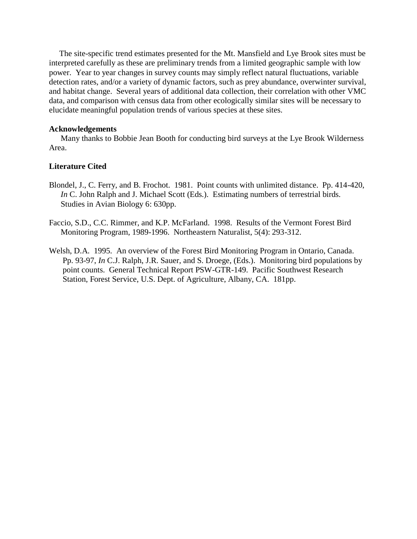The site-specific trend estimates presented for the Mt. Mansfield and Lye Brook sites must be interpreted carefully as these are preliminary trends from a limited geographic sample with low power. Year to year changes in survey counts may simply reflect natural fluctuations, variable detection rates, and/or a variety of dynamic factors, such as prey abundance, overwinter survival, and habitat change. Several years of additional data collection, their correlation with other VMC data, and comparison with census data from other ecologically similar sites will be necessary to elucidate meaningful population trends of various species at these sites.

### **Acknowledgements**

Many thanks to Bobbie Jean Booth for conducting bird surveys at the Lye Brook Wilderness Area.

### **Literature Cited**

- Blondel, J., C. Ferry, and B. Frochot. 1981. Point counts with unlimited distance. Pp. 414-420, *In* C. John Ralph and J. Michael Scott (Eds.). Estimating numbers of terrestrial birds. Studies in Avian Biology 6: 630pp.
- Faccio, S.D., C.C. Rimmer, and K.P. McFarland. 1998. Results of the Vermont Forest Bird Monitoring Program, 1989-1996. Northeastern Naturalist, 5(4): 293-312.
- Welsh, D.A. 1995. An overview of the Forest Bird Monitoring Program in Ontario, Canada. Pp. 93-97, *In* C.J. Ralph, J.R. Sauer, and S. Droege, (Eds.). Monitoring bird populations by point counts. General Technical Report PSW-GTR-149. Pacific Southwest Research Station, Forest Service, U.S. Dept. of Agriculture, Albany, CA. 181pp.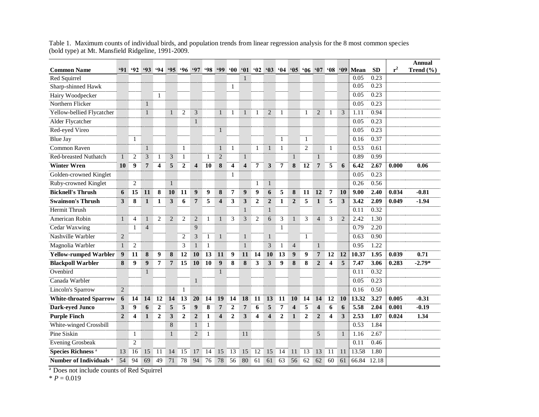|                                      |                |                         |                |                  |                |                |                         |                                    |                         |                         |                         |                |                         |                |                         |                                                   |                         |    |                |              |                   |       | <b>Annual</b> |
|--------------------------------------|----------------|-------------------------|----------------|------------------|----------------|----------------|-------------------------|------------------------------------|-------------------------|-------------------------|-------------------------|----------------|-------------------------|----------------|-------------------------|---------------------------------------------------|-------------------------|----|----------------|--------------|-------------------|-------|---------------|
| <b>Common Name</b>                   | 91             | 92 <sub>1</sub>         |                |                  |                |                |                         | $93 \t94 \t95 \t96 \t97 \t98 \t99$ |                         |                         |                         |                |                         |                |                         | $00 \t01 \t02 \t03 \t04 \t05 \t06 \t07 \t08 \t09$ |                         |    |                | Mean<br>0.05 | <b>SD</b><br>0.23 | $r^2$ | Trend $(\% )$ |
| Red Squirrel                         |                |                         |                |                  |                |                |                         |                                    |                         |                         | 1                       |                |                         |                |                         |                                                   |                         |    |                | 0.05         | 0.23              |       |               |
| Sharp-shinned Hawk                   |                |                         |                |                  |                |                |                         |                                    |                         | 1                       |                         |                |                         |                |                         |                                                   |                         |    |                | 0.05         | 0.23              |       |               |
| Hairy Woodpecker<br>Northern Flicker |                |                         | $\mathbf{1}$   | $\mathbf{1}$     |                |                |                         |                                    |                         |                         |                         |                |                         |                |                         |                                                   |                         |    |                | 0.05         | 0.23              |       |               |
|                                      |                |                         |                |                  |                | $\overline{c}$ |                         |                                    | $\mathbf{1}$            | $\mathbf{1}$            | $\mathbf{1}$            | 1              | 2                       | $\mathbf{1}$   |                         | $\mathbf{1}$                                      | $\overline{2}$          | 1  | 3              | 1.11         | 0.94              |       |               |
| Yellow-bellied Flycatcher            |                |                         | $\mathbf{1}$   |                  | $\mathbf{1}$   |                | 3<br>$\mathbf{1}$       |                                    |                         |                         |                         |                |                         |                |                         |                                                   |                         |    |                |              | 0.23              |       |               |
| Alder Flycatcher                     |                |                         |                |                  |                |                |                         |                                    |                         |                         |                         |                |                         |                |                         |                                                   |                         |    |                | 0.05         |                   |       |               |
| Red-eyed Vireo                       |                |                         |                |                  |                |                |                         |                                    | $\mathbf{1}$            |                         |                         |                |                         |                |                         |                                                   |                         |    |                | 0.05         | 0.23              |       |               |
| Blue Jay                             |                | 1                       |                |                  |                |                |                         |                                    |                         |                         |                         |                |                         | 1              |                         | 1                                                 |                         |    |                | 0.16         | 0.37              |       |               |
| <b>Common Raven</b>                  |                |                         | $\mathbf{1}$   |                  |                | $\mathbf{1}$   |                         |                                    | $\mathbf{1}$            | $\mathbf{1}$            |                         | 1              | $\mathbf{1}$            | $\mathbf{1}$   |                         | $\overline{2}$                                    |                         | 1  |                | 0.53         | 0.61              |       |               |
| <b>Red-breasted Nuthatch</b>         | $\mathbf{1}$   | $\overline{2}$          | 3              | 1                | 3              | $\mathbf{1}$   |                         | $\mathbf{1}$                       | $\overline{2}$          |                         | $\mathbf{1}$            |                |                         |                | $\mathbf{1}$            |                                                   | $\mathbf{1}$            |    |                | 0.89         | 0.99              |       |               |
| <b>Winter Wren</b>                   | 10             | $\boldsymbol{9}$        | $\overline{7}$ | 4                | 5              | $\overline{2}$ | $\overline{\mathbf{4}}$ | 10                                 | 8                       | $\overline{\mathbf{4}}$ | $\overline{\mathbf{4}}$ | 7              | 3                       | $\overline{7}$ | 8                       | 12                                                | $\overline{7}$          | 5  | 6              | 6.42         | 2.67              | 0.000 | 0.06          |
| Golden-crowned Kinglet               |                |                         |                |                  |                |                |                         |                                    |                         | $\mathbf{1}$            |                         |                |                         |                |                         |                                                   |                         |    |                | 0.05         | 0.23              |       |               |
| Ruby-crowned Kinglet                 |                | $\overline{2}$          |                |                  | $\mathbf{1}$   |                |                         |                                    |                         |                         |                         | 1              | $\mathbf{1}$            |                |                         |                                                   |                         |    |                | 0.26         | 0.56              |       |               |
| <b>Bicknell's Thrush</b>             | 6              | 15                      | 11             | 8                | 10             | 11             | 9                       | $\boldsymbol{9}$                   | 8                       | 7                       | 9                       | 9              | 6                       | 5              | 8                       | 11                                                | 12                      | 7  | <b>10</b>      | 9.00         | 2.40              | 0.034 | $-0.81$       |
| <b>Swainson's Thrush</b>             | 3              | 8                       | $\mathbf{1}$   | 1                | 3              | 6              | 7                       | 5                                  | $\overline{\mathbf{4}}$ | 3                       | 3                       | $\overline{2}$ | $\overline{2}$          | 1              | $\overline{2}$          | 5                                                 | $\mathbf{1}$            | 5  | 3              | 3.42         | 2.09              | 0.049 | $-1.94$       |
| Hermit Thrush                        |                |                         |                |                  |                |                |                         |                                    |                         |                         | $\mathbf{1}$            |                | $\mathbf{1}$            |                |                         |                                                   |                         |    |                | 0.11         | 0.32              |       |               |
| American Robin                       | $\mathbf{1}$   | $\overline{4}$          | $\mathbf{1}$   | $\overline{2}$   | $\overline{2}$ | $\overline{2}$ | $\overline{2}$          | $\mathbf{1}$                       | 1                       | 3                       | 3                       | $\overline{2}$ | 6                       | 3              | $\mathbf{1}$            | 3                                                 | $\overline{4}$          | 3  | $\overline{2}$ | 2.42         | 1.30              |       |               |
| Cedar Waxwing                        |                | 1                       | $\overline{4}$ |                  |                |                | 9                       |                                    |                         |                         |                         |                |                         | 1              |                         |                                                   |                         |    |                | 0.79         | 2.20              |       |               |
| Nashville Warbler                    | $\overline{2}$ |                         |                |                  |                | $\overline{c}$ | 3                       | $\mathbf{1}$                       | $\mathbf{1}$            |                         | $\mathbf{1}$            |                | $\mathbf{1}$            |                |                         | $\mathbf{1}$                                      |                         |    |                | 0.63         | 0.90              |       |               |
| Magnolia Warbler                     | $\mathbf{1}$   | $\overline{2}$          |                |                  |                | 3              | $\mathbf{1}$            | $\mathbf{1}$                       |                         |                         | $\mathbf{1}$            |                | $\mathfrak{Z}$          | 1              | $\overline{4}$          |                                                   | $\mathbf{1}$            |    |                | 0.95         | 1.22              |       |               |
| <b>Yellow-rumped Warbler</b>         | 9              | 11                      | 8              | 9                | 8              | 12             | 10                      | 13                                 | 11                      | 9                       | 11                      | 14             | 10                      | 13             | $\boldsymbol{9}$        | 9                                                 | $\overline{7}$          | 12 | 12             | 10.37        | 1.95              | 0.039 | 0.71          |
| <b>Blackpoll Warbler</b>             | 8              | $\boldsymbol{9}$        | 9              | 7                | $\overline{7}$ | 15             | 10                      | 10                                 | 9                       | 8                       | 8                       | 3              | $\mathbf{3}$            | 9              | 8                       | 8                                                 | $\overline{2}$          | 4  | 5              | 7.47         | 3.06              | 0.283 | $-2.79*$      |
| Ovenbird                             |                |                         | $\mathbf{1}$   |                  |                |                |                         |                                    | $\mathbf{1}$            |                         |                         |                |                         |                |                         |                                                   |                         |    |                | 0.11         | 0.32              |       |               |
| Canada Warbler                       |                |                         |                |                  |                |                | $\mathbf{1}$            |                                    |                         |                         |                         |                |                         |                |                         |                                                   |                         |    |                | 0.05         | 0.23              |       |               |
| Lincoln's Sparrow                    | $\overline{2}$ |                         |                |                  |                | $\mathbf{1}$   |                         |                                    |                         |                         |                         |                |                         |                |                         |                                                   |                         |    |                | 0.16         | 0.50              |       |               |
| <b>White-throated Sparrow</b>        | 6              | 14                      | 14             | 12               | 14             | 13             | 20                      | 14                                 | 19                      | 14                      | 18                      | 11             | 13                      | 11             | 10                      | 14                                                | 14                      | 12 | 10             | 13.32        | 3.27              | 0.005 | $-0.31$       |
| Dark-eyed Junco                      | 3              | 9                       | 6              | $\boldsymbol{2}$ | 5              | 5              | 9                       | 8                                  | $\overline{7}$          | $\boldsymbol{2}$        | $\overline{7}$          | 6              | 5                       | 7              | $\overline{\mathbf{4}}$ | 5                                                 | $\overline{\mathbf{4}}$ | 6  | 6              | 5.58         | 2.04              | 0.001 | $-0.19$       |
| <b>Purple Finch</b>                  | $\overline{2}$ | $\overline{\mathbf{4}}$ | $\mathbf{1}$   | $\overline{2}$   | 3              | $\overline{2}$ | $\overline{2}$          | $\mathbf{1}$                       | $\overline{\mathbf{4}}$ | $\overline{2}$          | 3                       | 4              | $\overline{\mathbf{4}}$ | $\overline{2}$ | $\mathbf{1}$            | $\overline{2}$                                    | $\overline{2}$          | 4  | 3              | 2.53         | 1.07              | 0.024 | 1.34          |
| White-winged Crossbill               |                |                         |                |                  | 8              |                | $\mathbf{1}$            | $\mathbf{1}$                       |                         |                         |                         |                |                         |                |                         |                                                   |                         |    |                | 0.53         | 1.84              |       |               |
| Pine Siskin                          |                | 1                       |                |                  | $\mathbf{1}$   |                | 2                       | 1                                  |                         |                         | 11                      |                |                         |                |                         |                                                   | 5                       |    | $\mathbf{1}$   | 1.16         | 2.67              |       |               |
| <b>Evening Grosbeak</b>              |                | $\overline{2}$          |                |                  |                |                |                         |                                    |                         |                         |                         |                |                         |                |                         |                                                   |                         |    |                | 0.11         | 0.46              |       |               |
| <b>Species Richness<sup>a</sup></b>  | 13             | 16                      | 15             | 11               | 14             | 15             | 17                      | 14                                 | 15                      | 13                      | 15                      | 12             | 15                      | 14             | 11                      | 13                                                | 13                      | 11 | 11             | 13.58        | 1.80              |       |               |
| Number of Individuals <sup>a</sup>   | 54             | 94                      | 69             | 49               | 71             | 78             | 94                      | 76                                 | 78                      | 56                      | 80                      | 61             | 61                      | 63             | 56                      | 62                                                | 62                      | 60 | 61             | 66.84        | 12.18             |       |               |

Table 1. Maximum counts of individual birds, and population trends from linear regression analysis for the 8 most common species (bold type) at Mt. Mansfield Ridgeline, 1991-2009.

<sup>a</sup> Does not include counts of Red Squirrel

 $* P = 0.019$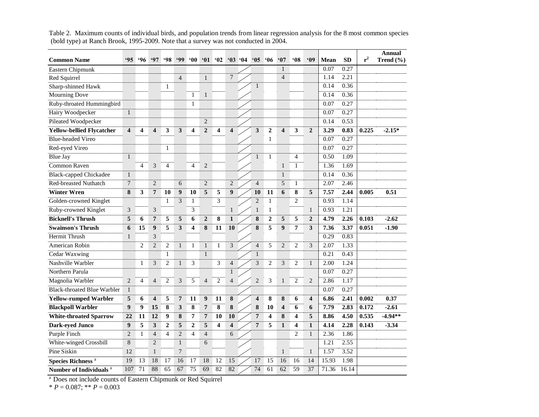| <b>Common Name</b>                 | .95                     | .96            | <b>'97</b>              | <b>98</b>      | <b>99</b>      | 60 <sup>o</sup>         | 61             | 02                      |                | $03 \t 04$ | 05                      | 06             | 67                      | 08             | 69                      | Mean  | <b>SD</b> | $r^2$ | Annual<br>Trend $(\% )$ |
|------------------------------------|-------------------------|----------------|-------------------------|----------------|----------------|-------------------------|----------------|-------------------------|----------------|------------|-------------------------|----------------|-------------------------|----------------|-------------------------|-------|-----------|-------|-------------------------|
| Eastern Chipmunk                   |                         |                |                         |                |                |                         |                |                         |                |            |                         |                | $\mathbf{1}$            |                |                         | 0.07  | 0.27      |       |                         |
| Red Squirrel                       |                         |                |                         |                | $\overline{4}$ |                         | $\mathbf{1}$   |                         | $\overline{7}$ |            |                         |                | $\overline{4}$          |                |                         | 1.14  | 2.21      |       |                         |
| Sharp-shinned Hawk                 |                         |                |                         | 1              |                |                         |                |                         |                |            | $\mathbf{1}$            |                |                         |                |                         | 0.14  | 0.36      |       |                         |
| Mourning Dove                      |                         |                |                         |                |                | 1                       | $\mathbf{1}$   |                         |                |            |                         |                |                         |                |                         | 0.14  | 0.36      |       |                         |
| Ruby-throated Hummingbird          |                         |                |                         |                |                | $\mathbf{1}$            |                |                         |                |            |                         |                |                         |                |                         | 0.07  | 0.27      |       |                         |
| Hairy Woodpecker                   | $\mathbf{1}$            |                |                         |                |                |                         |                |                         |                |            |                         |                |                         |                |                         | 0.07  | 0.27      |       |                         |
| Pileated Woodpecker                |                         |                |                         |                |                |                         | $\sqrt{2}$     |                         |                |            |                         |                |                         |                |                         | 0.14  | 0.53      |       |                         |
| <b>Yellow-bellied Flycatcher</b>   | $\overline{\mathbf{4}}$ | 4              | $\overline{\mathbf{4}}$ | 3              | 3              | $\overline{\mathbf{4}}$ | $\overline{2}$ | $\overline{\mathbf{4}}$ | 4              |            | 3                       | $\overline{2}$ | $\overline{\mathbf{4}}$ | 3              | $\overline{2}$          | 3.29  | 0.83      | 0.225 | $-2.15*$                |
| <b>Blue-headed Vireo</b>           |                         |                |                         |                |                |                         |                |                         |                |            |                         | $\mathbf{1}$   |                         |                |                         | 0.07  | 0.27      |       |                         |
| Red-eyed Vireo                     |                         |                |                         | 1              |                |                         |                |                         |                |            |                         |                |                         |                |                         | 0.07  | 0.27      |       |                         |
| <b>Blue Jay</b>                    | $\mathbf{1}$            |                |                         |                |                |                         |                |                         |                |            | $\mathbf{1}$            | $\mathbf{1}$   |                         | $\overline{4}$ |                         | 0.50  | 1.09      |       |                         |
| <b>Common Raven</b>                |                         | $\overline{4}$ | 3                       | $\overline{4}$ |                | $\overline{4}$          | $\overline{2}$ |                         |                |            |                         |                | $\mathbf{1}$            | $\mathbf{1}$   |                         | 1.36  | 1.69      |       |                         |
| <b>Black-capped Chickadee</b>      | $\mathbf{1}$            |                |                         |                |                |                         |                |                         |                |            |                         |                | $\mathbf{1}$            |                |                         | 0.14  | 0.36      |       |                         |
| <b>Red-breasted Nuthatch</b>       | 7                       |                | 2                       |                | 6              |                         | $\overline{2}$ |                         | $\overline{2}$ |            | $\overline{4}$          |                | 5                       | $\mathbf{1}$   |                         | 2.07  | 2.46      |       |                         |
| <b>Winter Wren</b>                 | 8                       | 3              | $\overline{7}$          | 10             | 9              | 10                      | 5              | 5                       | 9              |            | 10                      | 11             | 6                       | 8              | 5                       | 7.57  | 2.44      | 0.005 | 0.51                    |
| Golden-crowned Kinglet             |                         |                |                         | 1              | $\mathfrak{Z}$ | $\mathbf{1}$            |                | 3                       |                |            | $\overline{2}$          | 1              |                         | $\overline{c}$ |                         | 0.93  | 1.14      |       |                         |
| Ruby-crowned Kinglet               | $\mathfrak{Z}$          |                | 3                       |                |                | 3                       |                |                         | $\mathbf{1}$   |            | $\mathbf{1}$            | $\mathbf{1}$   |                         |                | $\mathbf{1}$            | 0.93  | 1.21      |       |                         |
| <b>Bicknell's Thrush</b>           | 5                       | 6              | 7                       | 5              | 5              | 6                       | $\mathbf{2}$   | 8                       | $\mathbf{1}$   |            | 8                       | $\overline{2}$ | 5                       | 5              | $\overline{2}$          | 4.79  | 2.26      | 0.103 | $-2.62$                 |
| <b>Swainson's Thrush</b>           | 6                       | 15             | 9                       | 5              | 3              | 4                       | 8              | 11                      | 10             |            | 8                       | 5              | 9                       | 7              | 3                       | 7.36  | 3.37      | 0.051 | $-1.90$                 |
| Hermit Thrush                      | $\mathbf{1}$            |                | 3                       |                |                |                         |                |                         |                |            |                         |                |                         |                |                         | 0.29  | 0.83      |       |                         |
| American Robin                     |                         | $\overline{c}$ | $\overline{c}$          | $\overline{2}$ | $\mathbf{1}$   | $\mathbf{1}$            | 1              | $\mathbf{1}$            | 3              |            | $\overline{4}$          | 5              | $\overline{2}$          | $\overline{c}$ | 3                       | 2.07  | 1.33      |       |                         |
| Cedar Waxwing                      |                         |                |                         | 1              |                |                         | $\mathbf{1}$   |                         |                |            | $\mathbf{1}$            |                |                         |                |                         | 0.21  | 0.43      |       |                         |
| Nashville Warbler                  |                         | 1              | 3                       | $\overline{2}$ | $\mathbf{1}$   | 3                       |                | 3                       | $\overline{4}$ |            | 3                       | 2              | 3                       | $\overline{c}$ | $\mathbf{1}$            | 2.00  | 1.24      |       |                         |
| Northern Parula                    |                         |                |                         |                |                |                         |                |                         | 1              |            |                         |                |                         |                |                         | 0.07  | 0.27      |       |                         |
| Magnolia Warbler                   | $\overline{2}$          | 4              | $\overline{4}$          | $\overline{2}$ | 3              | 5                       | $\overline{4}$ | $\overline{2}$          | $\overline{4}$ |            | $\overline{2}$          | 3              | $\mathbf{1}$            | $\overline{c}$ | $\overline{2}$          | 2.86  | 1.17      |       |                         |
| <b>Black-throated Blue Warbler</b> | $\mathbf{1}$            |                |                         |                |                |                         |                |                         |                |            |                         |                |                         |                |                         | 0.07  | 0.27      |       |                         |
| <b>Yellow-rumped Warbler</b>       | 5                       | 6              | $\overline{\mathbf{4}}$ | 5              | $\overline{7}$ | 11                      | 9              | 11                      | 8              |            | $\overline{\mathbf{4}}$ | 8              | 8                       | 6              | $\overline{\mathbf{4}}$ | 6.86  | 2.41      | 0.002 | 0.37                    |
| <b>Blackpoll Warbler</b>           | 9                       | 9              | 15                      | 8              | 3              | 8                       | $\overline{7}$ | 8                       | 8              |            | 8                       | 10             | $\boldsymbol{4}$        | 6              | 6                       | 7.79  | 2.83      | 0.172 | $-2.61$                 |
| <b>White-throated Sparrow</b>      | 22                      | 11             | 12                      | 9              | 8              | 7                       | 7              | 10                      | 10             |            | 7                       | 4              | 8                       | 4              | 5                       | 8.86  | 4.50      | 0.535 | $-4.94**$               |
| Dark-eyed Junco                    | $\boldsymbol{9}$        | 5              | 3                       | $\mathbf{2}$   | 5              | $\boldsymbol{2}$        | 5              | $\overline{\mathbf{4}}$ | 4              |            | $\overline{7}$          | 5              | $\mathbf{1}$            | 4              | $\mathbf{1}$            | 4.14  | 2.28      | 0.143 | $-3.34$                 |
| Purple Finch                       | 2                       | 1              | $\overline{4}$          | $\overline{4}$ | $\overline{2}$ | $\overline{4}$          | $\overline{4}$ |                         | 6              |            |                         |                |                         | $\overline{c}$ | $\mathbf{1}$            | 2.36  | 1.86      |       |                         |
| White-winged Crossbill             | $\,8\,$                 |                | $\overline{2}$          |                | $\mathbf{1}$   |                         | 6              |                         |                |            |                         |                |                         |                |                         | 1.21  | 2.55      |       |                         |
| Pine Siskin                        | 12                      |                | $\mathbf{1}$            |                | $\overline{7}$ |                         |                |                         |                |            |                         |                | $\mathbf{1}$            |                | $\mathbf{1}$            | 1.57  | 3.52      |       |                         |
| Species Richness <sup>a</sup>      | 19                      | 13             | 18                      | 17             | 16             | 17                      | 18             | 12                      | 15             |            | 17                      | 15             | 16                      | 16             | 14                      | 15.93 | 1.98      |       |                         |
| Number of Individuals <sup>a</sup> | 107                     | 71             | 88                      | 65             | 67             | 75                      | 69             | 82                      | 82             |            | 74                      | 61             | 62                      | 59             | 37                      | 71.36 | 16.14     |       |                         |

Table 2. Maximum counts of individual birds, and population trends from linear regression analysis for the 8 most common species (bold type) at Ranch Brook, 1995-2009. Note that a survey was not conducted in 2004.

<sup>a</sup> Does not include counts of Eastern Chipmunk or Red Squirrel

 $* P = 0.087; ** P = 0.003$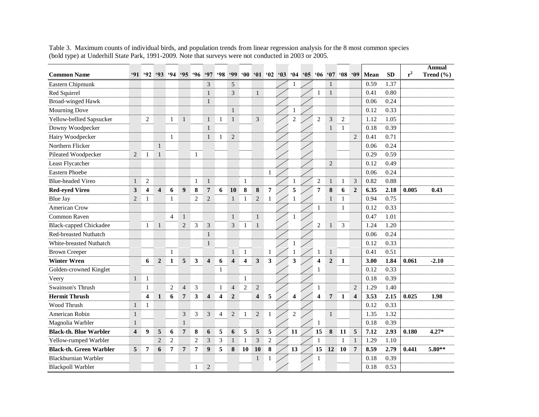| <b>Common Name</b>             |                         |                  |                         | 91 92 93 94 95 96 |                  |                             |                         | $97$ $98$               |                         | $99 \t00 \t01 \t02$     |                         |                |                | $03 \t04 \t05 \t06$ |                |                  | $07 \t08 \t09$ |                             | Mean | <b>SD</b> | $r^2$ | Annual<br>Trend $(\% )$ |
|--------------------------------|-------------------------|------------------|-------------------------|-------------------|------------------|-----------------------------|-------------------------|-------------------------|-------------------------|-------------------------|-------------------------|----------------|----------------|---------------------|----------------|------------------|----------------|-----------------------------|------|-----------|-------|-------------------------|
| Eastern Chipmunk               |                         |                  |                         |                   |                  |                             | 3                       |                         | 5                       |                         |                         |                | 1              |                     |                | $\mathbf{1}$     |                |                             | 0.59 | 1.37      |       |                         |
| Red Squirrel                   |                         |                  |                         |                   |                  |                             | $\mathbf{1}$            |                         | 3                       |                         | $\mathbf{1}$            |                |                |                     |                | $\mathbf{1}$     |                |                             | 0.41 | 0.80      |       |                         |
| Broad-winged Hawk              |                         |                  |                         |                   |                  |                             | $\mathbf{1}$            |                         |                         |                         |                         |                |                |                     |                |                  |                |                             | 0.06 | 0.24      |       |                         |
| Mourning Dove                  |                         |                  |                         |                   |                  |                             |                         |                         | $\mathbf{1}$            |                         |                         |                | 1              |                     |                |                  |                |                             | 0.12 | 0.33      |       |                         |
| Yellow-bellied Sapsucker       |                         | 2                |                         | 1                 | $\mathbf{1}$     |                             | $\mathbf{1}$            | -1                      | $\mathbf{1}$            |                         | 3                       |                | $\overline{2}$ |                     | $\overline{2}$ | $\mathfrak{Z}$   | $\overline{2}$ |                             | 1.12 | 1.05      |       |                         |
| Downy Woodpecker               |                         |                  |                         |                   |                  |                             | $\mathbf{1}$            |                         |                         |                         |                         |                |                |                     |                | $\mathbf{1}$     | $\mathbf{1}$   |                             | 0.18 | 0.39      |       |                         |
| Hairy Woodpecker               |                         |                  |                         | 1                 |                  |                             | $\mathbf{1}$            | 1                       | $\overline{2}$          |                         |                         |                |                |                     |                |                  |                | $\sqrt{2}$                  | 0.41 | 0.71      |       |                         |
| Northern Flicker               |                         |                  | $\mathbf{1}$            |                   |                  |                             |                         |                         |                         |                         |                         |                |                |                     |                |                  |                |                             | 0.06 | 0.24      |       |                         |
| Pileated Woodpecker            | 2                       | $\mathbf{1}$     | $\mathbf{1}$            |                   |                  | $\mathbf{1}$                |                         |                         |                         |                         |                         |                |                |                     |                |                  |                |                             | 0.29 | 0.59      |       |                         |
| Least Flycatcher               |                         |                  |                         |                   |                  |                             |                         |                         |                         |                         |                         |                |                |                     |                | $\overline{2}$   |                |                             | 0.12 | 0.49      |       |                         |
| Eastern Phoebe                 |                         |                  |                         |                   |                  |                             |                         |                         |                         |                         |                         | -1             |                |                     |                |                  |                |                             | 0.06 | 0.24      |       |                         |
| <b>Blue-headed Vireo</b>       | 1                       | $\overline{c}$   |                         |                   |                  | $\mathbf{1}$                | $\mathbf{1}$            |                         |                         | $\mathbf{1}$            |                         |                | 1              |                     | $\overline{2}$ | $\mathbf{1}$     | $\mathbf{1}$   | $\ensuremath{\mathfrak{Z}}$ | 0.82 | 0.88      |       |                         |
| <b>Red-eyed Vireo</b>          | 3                       | 4                | $\overline{\mathbf{4}}$ | 6                 | $\boldsymbol{9}$ | 8                           | $\boldsymbol{7}$        | 6                       | 10                      | $\bf{8}$                | $\bf{8}$                | $\overline{7}$ | 5              |                     | $\overline{7}$ | 8                | 6              | $\boldsymbol{2}$            | 6.35 | 2.18      | 0.005 | 0.43                    |
| Blue Jay                       | $\overline{2}$          | 1                |                         | $\mathbf{1}$      |                  | $\overline{2}$              | $\overline{2}$          |                         | $\mathbf{1}$            | $\mathbf{1}$            | $\overline{2}$          | -1             |                |                     |                | $\mathbf{1}$     | $\mathbf{1}$   |                             | 0.94 | 0.75      |       |                         |
| American Crow                  |                         |                  |                         |                   |                  |                             |                         |                         |                         |                         |                         |                |                |                     | $\mathbf{1}$   |                  | $\mathbf{1}$   |                             | 0.12 | 0.33      |       |                         |
|                                |                         |                  |                         | $\overline{4}$    |                  |                             |                         |                         |                         |                         |                         |                |                |                     |                |                  |                |                             | 0.47 |           |       |                         |
| Common Raven                   |                         |                  |                         |                   | $\mathbf{1}$     |                             |                         |                         | $\mathbf{1}$            |                         | $\mathbf{1}$            |                | 1              |                     |                |                  |                |                             |      | 1.01      |       |                         |
| <b>Black-capped Chickadee</b>  |                         | 1                | $\mathbf{1}$            |                   | $\mathfrak{2}$   | $\mathfrak{Z}$              | $\mathfrak{Z}$          |                         | 3                       | 1                       | $\mathbf{1}$            |                |                |                     | $\overline{2}$ | $\mathbf{1}$     | 3              |                             | 1.24 | 1.20      |       |                         |
| <b>Red-breasted Nuthatch</b>   |                         |                  |                         |                   |                  |                             | $\mathbf{1}$            |                         |                         |                         |                         |                |                |                     |                |                  |                |                             | 0.06 | 0.24      |       |                         |
| White-breasted Nuthatch        |                         |                  |                         |                   |                  |                             | $\mathbf{1}$            |                         |                         |                         |                         |                | 1              |                     |                |                  |                |                             | 0.12 | 0.33      |       |                         |
| <b>Brown Creeper</b>           |                         |                  |                         | $\mathbf{1}$      |                  |                             |                         |                         | $\mathbf{1}$            | 1                       |                         | 1              |                |                     |                | $\mathbf{1}$     |                |                             | 0.41 | 0.51      |       |                         |
| <b>Winter Wren</b>             |                         | 6                | $\boldsymbol{2}$        | $\mathbf{1}$      | $\sqrt{5}$       | $\mathbf{3}$                | $\overline{\mathbf{4}}$ | 6                       | $\overline{\mathbf{4}}$ | $\overline{\mathbf{4}}$ | $\mathbf{3}$            | 3              | 3              |                     | 4              | $\boldsymbol{2}$ | $\mathbf{1}$   |                             | 3.00 | 1.84      | 0.061 | $-2.10$                 |
| Golden-crowned Kinglet         |                         |                  |                         |                   |                  |                             |                         | $\mathbf{1}$            |                         |                         |                         |                |                |                     |                |                  |                |                             | 0.12 | 0.33      |       |                         |
| Veery                          | $\mathbf{1}$            | $\mathbf{1}$     |                         |                   |                  |                             |                         |                         |                         | $\mathbf{1}$            |                         |                |                |                     |                |                  |                |                             | 0.18 | 0.39      |       |                         |
| Swainson's Thrush              |                         | $\mathbf{1}$     |                         | $\overline{2}$    | $\overline{4}$   | $\ensuremath{\mathfrak{Z}}$ |                         | $\mathbf{1}$            | $\overline{4}$          | $\mathbf{2}$            | $\overline{2}$          |                |                |                     | -1             |                  |                | $\overline{2}$              | 1.29 | 1.40      |       |                         |
| <b>Hermit Thrush</b>           |                         | $\boldsymbol{4}$ | $\mathbf{1}$            | 6                 | $\overline{7}$   | 3                           | $\overline{\mathbf{4}}$ | $\overline{\mathbf{4}}$ | $\boldsymbol{2}$        |                         | $\overline{\mathbf{4}}$ | 5              | 4              |                     | 4              | $\overline{7}$   | 1              | $\overline{\mathbf{4}}$     | 3.53 | 2.15      | 0.025 | 1.98                    |
| Wood Thrush                    | $\mathbf{1}$            | $\mathbf{1}$     |                         |                   |                  |                             |                         |                         |                         |                         |                         |                |                |                     |                |                  |                |                             | 0.12 | 0.33      |       |                         |
| American Robin                 | $\mathbf{1}$            |                  |                         |                   | $\mathfrak{Z}$   | $\mathfrak{Z}$              | 3                       | $\overline{4}$          | $\mathbf{2}$            | $\mathbf{1}$            | $\mathbf{2}$            | $\mathbf{1}$   | $\overline{2}$ |                     |                | $\mathbf{1}$     |                |                             | 1.35 | 1.32      |       |                         |
| Magnolia Warbler               | 1                       |                  |                         |                   | $\mathbf{1}$     |                             |                         |                         |                         |                         |                         |                |                |                     | -1             |                  |                |                             | 0.18 | 0.39      |       |                         |
| <b>Black-th. Blue Warbler</b>  | $\overline{\mathbf{4}}$ | 9                | 5                       | 6                 | $\overline{7}$   | 8                           | 6                       | 5                       | 6                       | 5                       | 5                       | 5              | 11             |                     | 15             | 8                | 11             | 5                           | 7.12 | 2.93      | 0.180 | $4.27*$                 |
| Yellow-rumped Warbler          |                         |                  | $\overline{2}$          | $\overline{2}$    |                  | $\overline{2}$              | 3                       | 3                       | $\mathbf{1}$            | $\mathbf{1}$            | 3                       | $\mathbf{2}$   |                |                     | $\mathbf{1}$   |                  | 1              | $\mathbf{1}$                | 1.29 | 1.10      |       |                         |
| <b>Black-th. Green Warbler</b> | 5                       | 7                | 6                       | 7                 | $\overline{7}$   | 7                           | 9                       | 5                       | 8                       | 10                      | 10                      | 8              | 13             |                     | 15             | 12               | <b>10</b>      | $7\phantom{.0}$             | 8.59 | 2.79      | 0.441 | 5.80**                  |
| Blackburnian Warbler           |                         |                  |                         |                   |                  |                             |                         |                         |                         |                         | $\mathbf{1}$            |                |                |                     |                |                  |                |                             | 0.18 | 0.39      |       |                         |
| <b>Blackpoll Warbler</b>       |                         |                  |                         |                   |                  | $\mathbf{1}$                | $\overline{2}$          |                         |                         |                         |                         |                |                |                     |                |                  |                |                             | 0.18 | 0.53      |       |                         |

Table 3. Maximum counts of individual birds, and population trends from linear regression analysis for the 8 most common species (bold type) at Underhill State Park, 1991-2009. Note that surveys were not conducted in 2003 or 2005.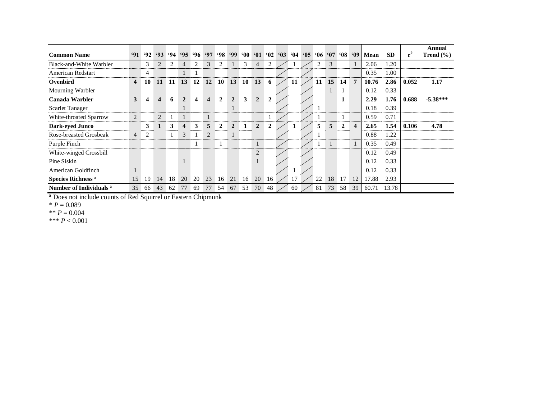|                                |                |         |                |       |                |                     |                    |              |                |                 |                |              |              |    |              |    |                |                |                         |       |           |       | Annual        |
|--------------------------------|----------------|---------|----------------|-------|----------------|---------------------|--------------------|--------------|----------------|-----------------|----------------|--------------|--------------|----|--------------|----|----------------|----------------|-------------------------|-------|-----------|-------|---------------|
| <b>Common Name</b>             | 91             | $^{92}$ | $^{693}$       | $-94$ |                | $95 \t96 \t97 \t98$ |                    |              | .99            | 60 <sup>1</sup> | 91             | $^{\circ}02$ | $^{\circ}03$ | 64 | $^{\circ}05$ |    | $06 \t07 \t08$ |                | <b>.09</b>              | Mean  | <b>SD</b> | $r^2$ | Trend $(\% )$ |
| Black-and-White Warbler        |                | 3       | $\overline{c}$ |       | 4              | 2                   | 3                  |              |                | 3               | 4              |              |              |    |              |    | 3              |                |                         | 2.06  | 1.20      |       |               |
| <b>American Redstart</b>       |                | 4       |                |       |                |                     |                    |              |                |                 |                |              |              |    |              |    |                |                |                         | 0.35  | 1.00      |       |               |
| Ovenbird                       | $\overline{4}$ | 10      | 11             | -11   | 13             | 12                  | 12                 | 10           | 13             | 10              | 13             | 6            |              | 11 |              | 11 | 15             | 14             | $\overline{7}$          | 10.76 | 2.86      | 0.052 | 1.17          |
| Mourning Warbler               |                |         |                |       |                |                     |                    |              |                |                 |                |              |              |    |              |    |                |                |                         | 0.12  | 0.33      |       |               |
| Canada Warbler                 | $3^{\circ}$    | 4       | 4              | 6     | $\overline{2}$ | 4                   | $\overline{\bf 4}$ | $\mathbf{2}$ | $\overline{2}$ | 3               | $\overline{2}$ | $\mathbf{2}$ |              |    |              |    |                | 1              |                         | 2.29  | 1.76      | 0.688 | $-5.38***$    |
| <b>Scarlet Tanager</b>         |                |         |                |       |                |                     |                    |              |                |                 |                |              |              |    |              |    |                |                |                         | 0.18  | 0.39      |       |               |
| White-throated Sparrow         | 2              |         | 2              |       |                |                     |                    |              |                |                 |                |              |              |    |              |    |                |                |                         | 0.59  | 0.71      |       |               |
| Dark-eyed Junco                |                | 3       | 1              | 3     | 4              | 3                   | 5                  | $\mathbf{2}$ | $\overline{2}$ | 1               | $\overline{2}$ | $\mathbf{2}$ |              | л. |              | 5. | 5              | $\overline{2}$ | $\overline{\mathbf{4}}$ | 2.65  | 1.54      | 0.106 | 4.78          |
| Rose-breasted Grosbeak         | $\overline{4}$ | 2       |                | 1     | 3              |                     | $\overline{2}$     |              | $\bf{l}$       |                 |                |              |              |    |              |    |                |                |                         | 0.88  | 1.22      |       |               |
| Purple Finch                   |                |         |                |       |                | -1                  |                    | -1           |                |                 |                |              |              |    |              |    |                |                | $\mathbf{1}$            | 0.35  | 0.49      |       |               |
| White-winged Crossbill         |                |         |                |       |                |                     |                    |              |                |                 | $\overline{2}$ |              |              |    |              |    |                |                |                         | 0.12  | 0.49      |       |               |
| Pine Siskin                    |                |         |                |       |                |                     |                    |              |                |                 |                |              |              |    |              |    |                |                |                         | 0.12  | 0.33      |       |               |
| American Goldfinch             |                |         |                |       |                |                     |                    |              |                |                 |                |              |              | п  |              |    |                |                |                         | 0.12  | 0.33      |       |               |
| Species Richness <sup>a</sup>  | 15             | 19      | 14             | 18    | 20             | 20                  | 23                 | 16           | 21             | 16              | 20             | 16           |              | 17 |              | 22 | 18             | 17             | 12                      | 17.88 | 2.93      |       |               |
| <b>Number of Individuals</b> a | 35             | -66     | 43             | 62    | 77             | -69                 | 77                 | 54           | 67             | 53              | 70             | 48           |              | 60 |              | 81 | 73             | 58             | 39                      | 60.71 | 13.78     |       |               |

<sup>a</sup> Does not include counts of Red Squirrel or Eastern Chipmunk

 $* P = 0.089$ 

\*\* *P* = 0.004

\*\*\* *P* < 0.001